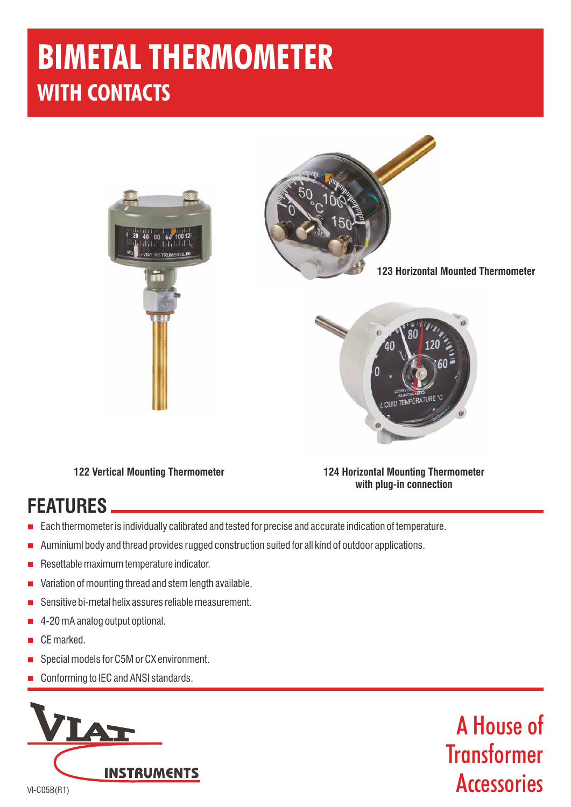# **BIMETAL THERMOMETER WITH CONTACTS**





**123 Horizontal Mounted Thermometer**



**122 Vertical Mounting Thermometer 124 Horizontal Mounting Thermometer with plug-in connection**

## **FEATURES**

- n Each thermometer is individually calibrated and tested for precise and accurate indication of temperature.
- n Auminiuml body and thread provides rugged construction suited for all kind of outdoor applications.
- n Resettable maximum temperature indicator.
- n Variation of mounting thread and stem length available.
- n Sensitive bi-metal helix assures reliable measurement.
- n 4-20 mA analog output optional.
- n CE marked.
- n Special models for C5M or CX environment.
- n Conforming to IEC and ANSI standards.



A House of **Transformer Accessories**